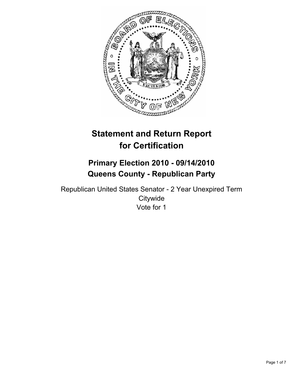

# **Statement and Return Report for Certification**

## **Primary Election 2010 - 09/14/2010 Queens County - Republican Party**

Republican United States Senator - 2 Year Unexpired Term **Citywide** Vote for 1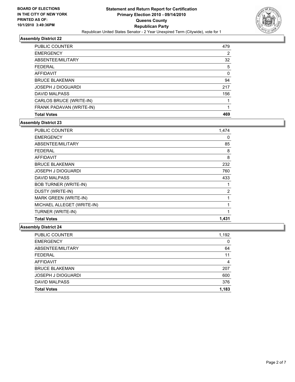

| <b>PUBLIC COUNTER</b>     | 479 |
|---------------------------|-----|
| <b>EMERGENCY</b>          | 2   |
| ABSENTEE/MILITARY         | 32  |
| FEDERAL                   | 5   |
| AFFIDAVIT                 | 0   |
| <b>BRUCE BLAKEMAN</b>     | 94  |
| <b>JOSEPH J DIOGUARDI</b> | 217 |
| <b>DAVID MALPASS</b>      | 156 |
| CARLOS BRUCE (WRITE-IN)   | 1   |
| FRANK PADAVAN (WRITE-IN)  |     |
| <b>Total Votes</b>        | 469 |

## **Assembly District 23**

| <b>PUBLIC COUNTER</b>        | 1,474          |
|------------------------------|----------------|
| <b>EMERGENCY</b>             | 0              |
| ABSENTEE/MILITARY            | 85             |
| <b>FEDERAL</b>               | 8              |
| <b>AFFIDAVIT</b>             | 8              |
| <b>BRUCE BLAKEMAN</b>        | 232            |
| <b>JOSEPH J DIOGUARDI</b>    | 760            |
| <b>DAVID MALPASS</b>         | 433            |
| <b>BOB TURNER (WRITE-IN)</b> | 1              |
| DUSTY (WRITE-IN)             | $\overline{2}$ |
| MARK GREEN (WRITE-IN)        | 1              |
| MICHAEL ALLEGET (WRITE-IN)   | 1              |
| TURNER (WRITE-IN)            | 1              |
| <b>Total Votes</b>           | 1,431          |

| <b>PUBLIC COUNTER</b>     | 1,192 |
|---------------------------|-------|
| <b>EMERGENCY</b>          | 0     |
| ABSENTEE/MILITARY         | 64    |
| <b>FEDERAL</b>            | 11    |
| AFFIDAVIT                 | 4     |
| <b>BRUCE BLAKEMAN</b>     | 207   |
| <b>JOSEPH J DIOGUARDI</b> | 600   |
| <b>DAVID MALPASS</b>      | 376   |
| <b>Total Votes</b>        | 1,183 |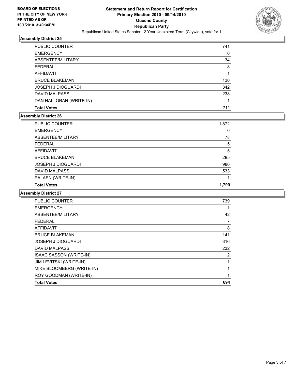

| PUBLIC COUNTER          | 741 |
|-------------------------|-----|
| <b>EMERGENCY</b>        | 0   |
| ABSENTEE/MILITARY       | 34  |
| <b>FEDERAL</b>          | 8   |
| AFFIDAVIT               |     |
| <b>BRUCE BLAKEMAN</b>   | 130 |
| JOSEPH J DIOGUARDI      | 342 |
| DAVID MALPASS           | 238 |
| DAN HALLORAN (WRITE-IN) |     |
| <b>Total Votes</b>      | 711 |

## **Assembly District 26**

| <b>Total Votes</b>        | 1.799 |
|---------------------------|-------|
| PALAEN (WRITE-IN)         |       |
| <b>DAVID MALPASS</b>      | 533   |
| <b>JOSEPH J DIOGUARDI</b> | 980   |
| <b>BRUCE BLAKEMAN</b>     | 285   |
| <b>AFFIDAVIT</b>          | 5     |
| <b>FEDERAL</b>            | 5     |
| ABSENTEE/MILITARY         | 78    |
| <b>EMERGENCY</b>          | 0     |
| <b>PUBLIC COUNTER</b>     | 1,872 |

| PUBLIC COUNTER                 | 739 |
|--------------------------------|-----|
| <b>EMERGENCY</b>               |     |
| ABSENTEE/MILITARY              | 42  |
| FEDERAL                        | 7   |
| <b>AFFIDAVIT</b>               | 8   |
| <b>BRUCE BLAKEMAN</b>          | 141 |
| <b>JOSEPH J DIOGUARDI</b>      | 316 |
| <b>DAVID MALPASS</b>           | 232 |
| <b>ISAAC SASSON (WRITE-IN)</b> | 2   |
| JIM LEVITSKI (WRITE-IN)        |     |
| MIKE BLOOMBERG (WRITE-IN)      | 1   |
| ROY GOODMAN (WRITE-IN)         | 1   |
| <b>Total Votes</b>             | 694 |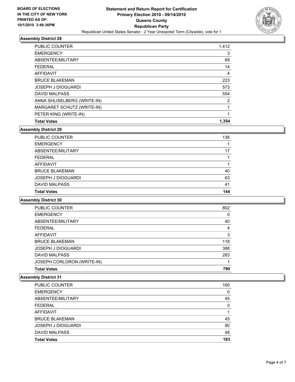

| <b>PUBLIC COUNTER</b>       | 1,412 |
|-----------------------------|-------|
| <b>EMERGENCY</b>            | 3     |
| ABSENTEE/MILITARY           | 69    |
| <b>FEDERAL</b>              | 14    |
| <b>AFFIDAVIT</b>            | 4     |
| <b>BRUCE BLAKEMAN</b>       | 223   |
| <b>JOSEPH J DIOGUARDI</b>   | 573   |
| <b>DAVID MALPASS</b>        | 554   |
| ANNA SHLISELBERG (WRITE-IN) | 2     |
| MARGARET SCHUTZ (WRITE-IN)  |       |
| PETER KING (WRITE-IN)       | 1     |
| <b>Total Votes</b>          | 1.354 |

## **Assembly District 29**

| <b>Total Votes</b>        | 144 |
|---------------------------|-----|
| DAVID MALPASS             | 41  |
| <b>JOSEPH J DIOGUARDI</b> | 63  |
| <b>BRUCE BLAKEMAN</b>     | 40  |
| AFFIDAVIT                 |     |
| <b>FEDERAL</b>            |     |
| ABSENTEE/MILITARY         | 17  |
| <b>EMERGENCY</b>          |     |
| PUBLIC COUNTER            | 136 |

## **Assembly District 30**

| <b>Total Votes</b>         | 790 |
|----------------------------|-----|
| JOSEPH CORLORON (WRITE-IN) |     |
| DAVID MALPASS              | 283 |
| <b>JOSEPH J DIOGUARDI</b>  | 388 |
| <b>BRUCE BLAKEMAN</b>      | 118 |
| AFFIDAVIT                  | 3   |
| <b>FEDERAL</b>             | 4   |
| ABSENTEE/MILITARY          | 40  |
| <b>EMERGENCY</b>           | 0   |
| <b>PUBLIC COUNTER</b>      | 802 |

| PUBLIC COUNTER        | 160 |
|-----------------------|-----|
| <b>EMERGENCY</b>      | 0   |
| ABSENTEE/MILITARY     | 45  |
| <b>FEDERAL</b>        | 0   |
| AFFIDAVIT             |     |
| <b>BRUCE BLAKEMAN</b> | 45  |
| JOSEPH J DIOGUARDI    | 90  |
| DAVID MALPASS         | 48  |
| <b>Total Votes</b>    | 183 |
|                       |     |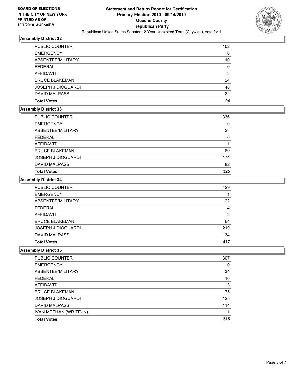

| PUBLIC COUNTER            | 102 |
|---------------------------|-----|
| <b>EMERGENCY</b>          | 0   |
| ABSENTEE/MILITARY         | 10  |
| <b>FEDERAL</b>            | 0   |
| <b>AFFIDAVIT</b>          | 3   |
| <b>BRUCE BLAKEMAN</b>     | 24  |
| <b>JOSEPH J DIOGUARDI</b> | 48  |
| <b>DAVID MALPASS</b>      | 22  |
| <b>Total Votes</b>        | 94  |

## **Assembly District 33**

| PUBLIC COUNTER        | 336 |
|-----------------------|-----|
| <b>EMERGENCY</b>      | 0   |
| ABSENTEE/MILITARY     | 23  |
| <b>FEDERAL</b>        | 0   |
| AFFIDAVIT             |     |
| <b>BRUCE BLAKEMAN</b> | 69  |
| JOSEPH J DIOGUARDI    | 174 |
| <b>DAVID MALPASS</b>  | 82  |
| <b>Total Votes</b>    | 325 |

## **Assembly District 34**

| <b>PUBLIC COUNTER</b>     | 429 |
|---------------------------|-----|
| <b>EMERGENCY</b>          |     |
| ABSENTEE/MILITARY         | 22  |
| FEDERAL                   | 4   |
| AFFIDAVIT                 | 3   |
| <b>BRUCE BLAKEMAN</b>     | 64  |
| <b>JOSEPH J DIOGUARDI</b> | 219 |
| <b>DAVID MALPASS</b>      | 134 |
| <b>Total Votes</b>        | 417 |

| PUBLIC COUNTER            | 307 |
|---------------------------|-----|
| <b>EMERGENCY</b>          | 0   |
| ABSENTEE/MILITARY         | 34  |
| <b>FEDERAL</b>            | 10  |
| AFFIDAVIT                 | 3   |
| <b>BRUCE BLAKEMAN</b>     | 75  |
| <b>JOSEPH J DIOGUARDI</b> | 125 |
| <b>DAVID MALPASS</b>      | 114 |
| IVAN MEEHAN (WRITE-IN)    |     |
| <b>Total Votes</b>        | 315 |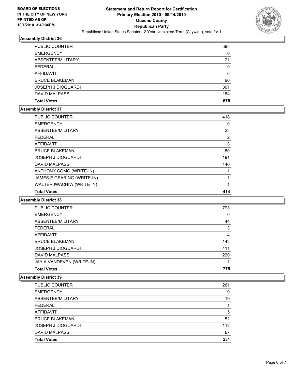

| <b>PUBLIC COUNTER</b>     | 588 |
|---------------------------|-----|
| <b>EMERGENCY</b>          | 0   |
| ABSENTEE/MILITARY         | 21  |
| <b>FEDERAL</b>            | 9   |
| <b>AFFIDAVIT</b>          | 6   |
| <b>BRUCE BLAKEMAN</b>     | 90  |
| <b>JOSEPH J DIOGUARDI</b> | 301 |
| DAVID MALPASS             | 184 |
| <b>Total Votes</b>        | 575 |

## **Assembly District 37**

| PUBLIC COUNTER             | 418 |
|----------------------------|-----|
| <b>EMERGENCY</b>           | 0   |
| ABSENTEE/MILITARY          | 23  |
| <b>FEDERAL</b>             | 2   |
| <b>AFFIDAVIT</b>           | 3   |
| <b>BRUCE BLAKEMAN</b>      | 80  |
| <b>JOSEPH J DIOGUARDI</b>  | 191 |
| <b>DAVID MALPASS</b>       | 140 |
| ANTHONY COMO (WRITE-IN)    |     |
| JAMES E GEARING (WRITE-IN) |     |
| WALTER IWACHIW (WRITE-IN)  | 1   |
| <b>Total Votes</b>         | 414 |

## **Assembly District 38**

| <b>Total Votes</b>        | 775 |
|---------------------------|-----|
| JAY A VANDEVEN (WRITE-IN) |     |
| <b>DAVID MALPASS</b>      | 220 |
| JOSEPH J DIOGUARDI        | 411 |
| <b>BRUCE BLAKEMAN</b>     | 143 |
| <b>AFFIDAVIT</b>          | 4   |
| <b>FEDERAL</b>            | 3   |
| ABSENTEE/MILITARY         | 44  |
| <b>EMERGENCY</b>          | 0   |
| PUBLIC COUNTER            | 793 |

| <b>PUBLIC COUNTER</b>     | 261 |
|---------------------------|-----|
| <b>EMERGENCY</b>          | 0   |
| ABSENTEE/MILITARY         | 19  |
| FEDERAL                   |     |
| <b>AFFIDAVIT</b>          | 5   |
| <b>BRUCE BLAKEMAN</b>     | 52  |
| <b>JOSEPH J DIOGUARDI</b> | 112 |
| DAVID MALPASS             | 67  |
| <b>Total Votes</b>        | 231 |
|                           |     |